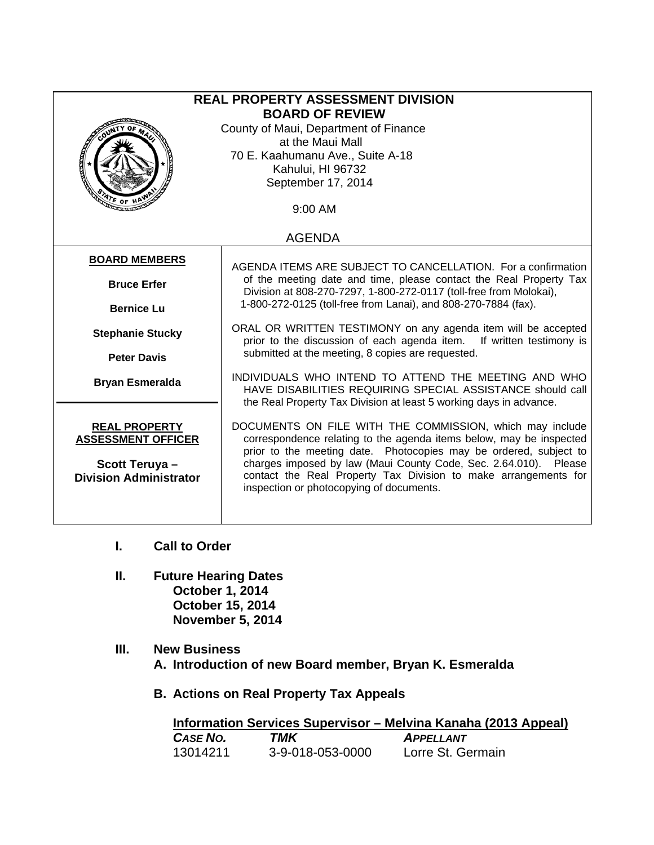| <b>REAL PROPERTY ASSESSMENT DIVISION</b><br><b>BOARD OF REVIEW</b><br>County of Maui, Department of Finance<br>at the Maui Mall<br>70 E. Kaahumanu Ave., Suite A-18<br>Kahului, HI 96732 |                                                                                                                                                                                                                                                                                                                                                                                         |  |  |  |  |  |
|------------------------------------------------------------------------------------------------------------------------------------------------------------------------------------------|-----------------------------------------------------------------------------------------------------------------------------------------------------------------------------------------------------------------------------------------------------------------------------------------------------------------------------------------------------------------------------------------|--|--|--|--|--|
| September 17, 2014<br>9:00 AM                                                                                                                                                            |                                                                                                                                                                                                                                                                                                                                                                                         |  |  |  |  |  |
| <b>AGENDA</b>                                                                                                                                                                            |                                                                                                                                                                                                                                                                                                                                                                                         |  |  |  |  |  |
| <b>BOARD MEMBERS</b>                                                                                                                                                                     | AGENDA ITEMS ARE SUBJECT TO CANCELLATION. For a confirmation<br>of the meeting date and time, please contact the Real Property Tax                                                                                                                                                                                                                                                      |  |  |  |  |  |
| <b>Bruce Erfer</b>                                                                                                                                                                       | Division at 808-270-7297, 1-800-272-0117 (toll-free from Molokai),                                                                                                                                                                                                                                                                                                                      |  |  |  |  |  |
| <b>Bernice Lu</b>                                                                                                                                                                        | 1-800-272-0125 (toll-free from Lanai), and 808-270-7884 (fax).                                                                                                                                                                                                                                                                                                                          |  |  |  |  |  |
| <b>Stephanie Stucky</b>                                                                                                                                                                  | ORAL OR WRITTEN TESTIMONY on any agenda item will be accepted<br>prior to the discussion of each agenda item.<br>If written testimony is                                                                                                                                                                                                                                                |  |  |  |  |  |
| <b>Peter Davis</b>                                                                                                                                                                       | submitted at the meeting, 8 copies are requested.                                                                                                                                                                                                                                                                                                                                       |  |  |  |  |  |
| <b>Bryan Esmeralda</b>                                                                                                                                                                   | INDIVIDUALS WHO INTEND TO ATTEND THE MEETING AND WHO<br>HAVE DISABILITIES REQUIRING SPECIAL ASSISTANCE should call<br>the Real Property Tax Division at least 5 working days in advance.                                                                                                                                                                                                |  |  |  |  |  |
| <b>REAL PROPERTY</b><br><b>ASSESSMENT OFFICER</b><br>Scott Teruya-<br><b>Division Administrator</b>                                                                                      | DOCUMENTS ON FILE WITH THE COMMISSION, which may include<br>correspondence relating to the agenda items below, may be inspected<br>prior to the meeting date. Photocopies may be ordered, subject to<br>charges imposed by law (Maui County Code, Sec. 2.64.010). Please<br>contact the Real Property Tax Division to make arrangements for<br>inspection or photocopying of documents. |  |  |  |  |  |

- **I. Call to Order**
- **II. Future Hearing Dates October 1, 2014 October 15, 2014 November 5, 2014**
- **III. New Business A. Introduction of new Board member, Bryan K. Esmeralda** 
	- **B. Actions on Real Property Tax Appeals**

|          |     |                  | Information Services Supervisor – Melvina Kanaha (2013 Appeal) |  |
|----------|-----|------------------|----------------------------------------------------------------|--|
| CASE NO. | TMK |                  | <b>APPELLANT</b>                                               |  |
| 13014211 |     | 3-9-018-053-0000 | Lorre St. Germain                                              |  |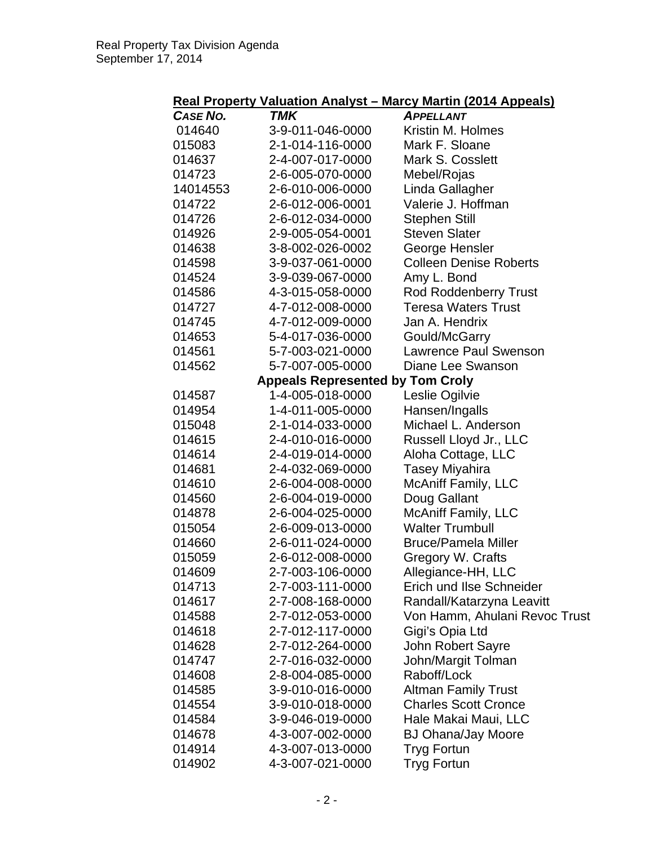## **Real Property Valuation Analyst – Marcy Martin (2014 Appeals)**

| <b>CASE NO.</b> | TMK                                     | <u>.</u><br><b>APPELLANT</b>  |
|-----------------|-----------------------------------------|-------------------------------|
| 014640          | 3-9-011-046-0000                        | Kristin M. Holmes             |
| 015083          | 2-1-014-116-0000                        | Mark F. Sloane                |
| 014637          | 2-4-007-017-0000                        | Mark S. Cosslett              |
| 014723          | 2-6-005-070-0000                        | Mebel/Rojas                   |
| 14014553        | 2-6-010-006-0000                        | Linda Gallagher               |
| 014722          | 2-6-012-006-0001                        | Valerie J. Hoffman            |
| 014726          | 2-6-012-034-0000                        | <b>Stephen Still</b>          |
| 014926          | 2-9-005-054-0001                        | <b>Steven Slater</b>          |
| 014638          | 3-8-002-026-0002                        | George Hensler                |
| 014598          | 3-9-037-061-0000                        | <b>Colleen Denise Roberts</b> |
| 014524          | 3-9-039-067-0000                        | Amy L. Bond                   |
| 014586          | 4-3-015-058-0000                        | <b>Rod Roddenberry Trust</b>  |
| 014727          | 4-7-012-008-0000                        | <b>Teresa Waters Trust</b>    |
| 014745          | 4-7-012-009-0000                        | Jan A. Hendrix                |
| 014653          | 5-4-017-036-0000                        | Gould/McGarry                 |
| 014561          | 5-7-003-021-0000                        | <b>Lawrence Paul Swenson</b>  |
| 014562          | 5-7-007-005-0000                        | Diane Lee Swanson             |
|                 | <b>Appeals Represented by Tom Croly</b> |                               |
| 014587          | 1-4-005-018-0000                        | Leslie Ogilvie                |
| 014954          | 1-4-011-005-0000                        | Hansen/Ingalls                |
| 015048          | 2-1-014-033-0000                        | Michael L. Anderson           |
| 014615          | 2-4-010-016-0000                        | Russell Lloyd Jr., LLC        |
| 014614          | 2-4-019-014-0000                        | Aloha Cottage, LLC            |
| 014681          | 2-4-032-069-0000                        | <b>Tasey Miyahira</b>         |
| 014610          | 2-6-004-008-0000                        | <b>McAniff Family, LLC</b>    |
| 014560          | 2-6-004-019-0000                        | Doug Gallant                  |
| 014878          | 2-6-004-025-0000                        | <b>McAniff Family, LLC</b>    |
| 015054          | 2-6-009-013-0000                        | <b>Walter Trumbull</b>        |
| 014660          | 2-6-011-024-0000                        | <b>Bruce/Pamela Miller</b>    |
| 015059          | 2-6-012-008-0000                        | Gregory W. Crafts             |
| 014609          | 2-7-003-106-0000                        | Allegiance-HH, LLC            |
| 014713          | 2-7-003-111-0000                        | Erich und Ilse Schneider      |
| 014617          | 2-7-008-168-0000                        | Randall/Katarzyna Leavitt     |
| 014588          | 2-7-012-053-0000                        | Von Hamm, Ahulani Revoc Trust |
| 014618          | 2-7-012-117-0000                        | Gigi's Opia Ltd               |
| 014628          | 2-7-012-264-0000                        | John Robert Sayre             |
| 014747          | 2-7-016-032-0000                        | John/Margit Tolman            |
| 014608          | 2-8-004-085-0000                        | Raboff/Lock                   |
| 014585          | 3-9-010-016-0000                        | <b>Altman Family Trust</b>    |
| 014554          | 3-9-010-018-0000                        | <b>Charles Scott Cronce</b>   |
| 014584          | 3-9-046-019-0000                        | Hale Makai Maui, LLC          |
| 014678          | 4-3-007-002-0000                        | <b>BJ Ohana/Jay Moore</b>     |
| 014914          | 4-3-007-013-0000                        | <b>Tryg Fortun</b>            |
| 014902          | 4-3-007-021-0000                        | <b>Tryg Fortun</b>            |